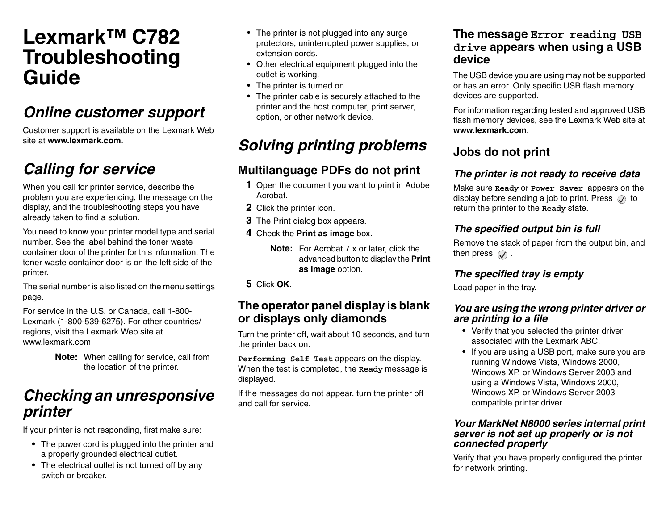# **Lexmark™ C782Troubleshooting Guide**

# *Online customer support*

Customer support is available on the Lexmark Web site at **www.lexmark.com**.

# *Calling for service*

When you call for printer service, describe the problem you are experiencing, the message on the display, and the troubleshooting steps you have already taken to find a solution.

You need to know your printer model type and serial number. See the label behind the toner waste container door of the printer for this information. The toner waste container door is on the left side of the printer.

The serial number is also listed on the menu settings page.

For service in the U.S. or Canada, call 1-800- Lexmark (1-800-539-6275). For other countries/ regions, visit the Lexmark Web site at www.lexmark.com

> **Note:** When calling for service, call from the location of the printer.

# *Checking an unresponsive printer*

If your printer is not responding, first make sure:

- **•** The power cord is plugged into the printer and a properly grounded electrical outlet.
- **•** The electrical outlet is not turned off by any switch or breaker.
- **•** The printer is not plugged into any surge protectors, uninterrupted power supplies, or extension cords.
- **•** Other electrical equipment plugged into the outlet is working.
- **•** The printer is turned on.
- **•** The printer cable is securely attached to the printer and the host computer, print server, option, or other network device.

# *Solving printing problems*

# **Multilanguage PDFs do not print**

- **1** Open the document you want to print in Adobe Acrobat.
- **2** Click the printer icon.
- **3** The Print dialog box appears.
- **4** Check the **Print as image** box.
	- **Note:** For Acrobat 7.x or later, click the advanced button to display the **Print as Image** option.

**5** Click **OK**.

### **The operator panel display is blank or displays only diamonds**

Turn the printer off, wait about 10 seconds, and turn the printer back on.

**Performing Self Test** appears on the display. When the test is completed, the **Ready** message is displayed.

If the messages do not appear, turn the printer off and call for service.

### **The message Error reading USB drive appears when using a USB device**

The USB device you are using may not be supported or has an error. Only specific USB flash memory devices are supported.

For information regarding tested and approved USB flash memory devices, see the Lexmark Web site at **www.lexmark.com**.

# **Jobs do not print**

### *The printer is not ready to receive data*

Make sure **Ready** or **Power Saver** appears on the display before sending a job to print. Press  $\oslash$  to return the printer to the **Ready** state.

### *The specified output bin is full*

Remove the stack of paper from the output bin, and then press  $\mathcal{Q}$ .

### *The specified tray is empty*

Load paper in the tray.

#### *You are using the wrong printer driver or are printing to a file*

- **•** Verify that you selected the printer driver associated with the Lexmark ABC.
- **•** If you are using a USB port, make sure you are running Windows Vista, Windows 2000, Windows XP, or Windows Server 2003 and using a Windows Vista, Windows 2000, Windows XP, or Windows Server 2003 compatible printer driver.

#### *Your MarkNet N8000 series internal print server is not set up properly or is not connected properly*

Verify that you have properly configured the printer for network printing.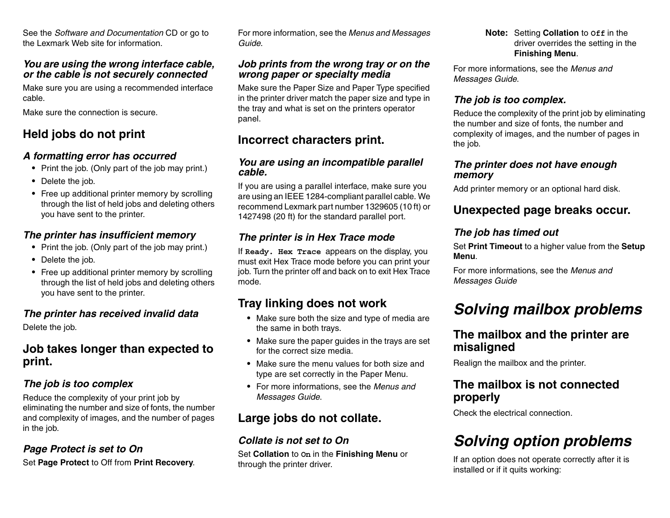See the *Software and Documentation* CD or go to the Lexmark Web site for information.

#### *You are using the wrong interface cable, or the cable is not securely connected*

Make sure you are using a recommended interface cable.

Make sure the connection is secure.

## **Held jobs do not print**

#### *A formatting error has occurred*

- **•** Print the job. (Only part of the job may print.)
- **•** Delete the job.
- **•** Free up additional printer memory by scrolling through the list of held jobs and deleting others you have sent to the printer.

#### *The printer has insufficient memory*

- **•** Print the job. (Only part of the job may print.)
- **•** Delete the job.
- **•** Free up additional printer memory by scrolling through the list of held jobs and deleting others you have sent to the printer.

### *The printer has received invalid data*

Delete the job.

### **Job takes longer than expected to print.**

### *The job is too complex*

Reduce the complexity of your print job by eliminating the number and size of fonts, the number and complexity of images, and the number of pages in the job.

### *Page Protect is set to On*

Set **Page Protect** to Off from **Print Recovery**.

For more information, see the *Menus and Messages Guide*.

#### *Job prints from the wrong tray or on the wrong paper or specialty media*

Make sure the Paper Size and Paper Type specified in the printer driver match the paper size and type in the tray and what is set on the printers operator panel.

### **Incorrect characters print.**

#### *You are using an incompatible parallel cable.*

If you are using a parallel interface, make sure you are using an IEEE 1284-compliant parallel cable. We recommend Lexmark part number 1329605 (10 ft) or 1427498 (20 ft) for the standard parallel port.

### *The printer is in Hex Trace mode*

If **Ready. Hex Trace** appears on the display, you must exit Hex Trace mode before you can print your job. Turn the printer off and back on to exit Hex Trace mode.

## **Tray linking does not work**

- **•** Make sure both the size and type of media are the same in both trays.
- **•** Make sure the paper guides in the trays are set for the correct size media.
- **•** Make sure the menu values for both size and type are set correctly in the Paper Menu.
- **•** For more informations, see the *Menus and Messages Guide*.

## **Large jobs do not collate.**

### *Collate is not set to On*

Set **Collation** to **On** in the **Finishing Menu** or through the printer driver.

**Note:** Setting **Collation** to **Off** in the driver overrides the setting in the **Finishing Menu**.

For more informations, see the *Menus and Messages Guide*.

### *The job is too complex.*

Reduce the complexity of the print job by eliminating the number and size of fonts, the number and complexity of images, and the number of pages in the job.

#### *The printer does not have enough memory*

Add printer memory or an optional hard disk.

## **Unexpected page breaks occur.**

### *The job has timed out*

Set **Print Timeout** to a higher value from the **Setup Menu**.

For more informations, see the *Menus and Messages Guide*

# *Solving mailbox problems*

### **The mailbox and the printer are misaligned**

Realign the mailbox and the printer.

### **The mailbox is not connected properly**

Check the electrical connection.

# *Solving option problems*

If an option does not operate correctly after it is installed or if it quits working: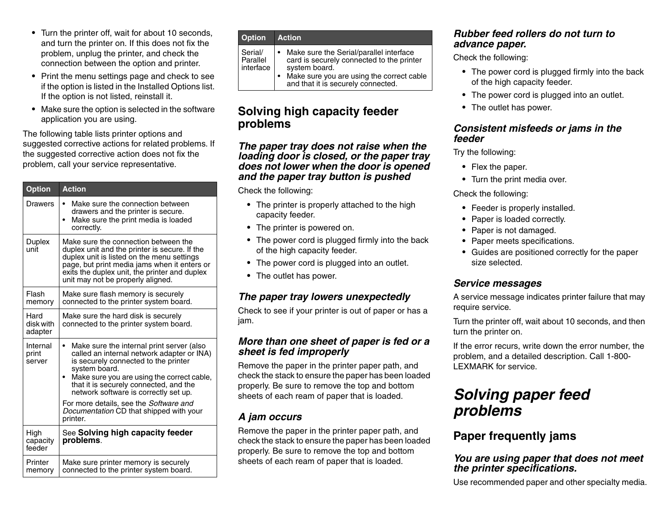- **•** Turn the printer off, wait for about 10 seconds, and turn the printer on. If this does not fix the problem, unplug the printer, and check the connection between the option and printer.
- **•** Print the menu settings page and check to see if the option is listed in the Installed Options list. If the option is not listed, reinstall it.
- **•** Make sure the option is selected in the software application you are using.

The following table lists printer options and suggested corrective actions for related problems. If the suggested corrective action does not fix the problem, call your service representative.

| <b>Option</b>                | <b>Action</b>                                                                                                                                                                                                                                                                                  |
|------------------------------|------------------------------------------------------------------------------------------------------------------------------------------------------------------------------------------------------------------------------------------------------------------------------------------------|
| Drawers                      | Make sure the connection between<br>$\bullet$<br>drawers and the printer is secure.<br>Make sure the print media is loaded<br>$\bullet$<br>correctly.                                                                                                                                          |
| Duplex<br>unit               | Make sure the connection between the<br>duplex unit and the printer is secure. If the<br>duplex unit is listed on the menu settings<br>page, but print media jams when it enters or<br>exits the duplex unit, the printer and duplex<br>unit may not be properly aligned.                      |
| Flash<br>memory              | Make sure flash memory is securely<br>connected to the printer system board.                                                                                                                                                                                                                   |
| Hard<br>disk with<br>adapter | Make sure the hard disk is securely<br>connected to the printer system board.                                                                                                                                                                                                                  |
| Internal<br>print<br>server  | Make sure the internal print server (also<br>$\bullet$<br>called an internal network adapter or INA)<br>is securely connected to the printer<br>system board.<br>Make sure you are using the correct cable,<br>that it is securely connected, and the<br>network software is correctly set up. |
|                              | For more details, see the Software and<br>Documentation CD that shipped with your<br>printer.                                                                                                                                                                                                  |
| High<br>capacity<br>feeder   | See Solving high capacity feeder<br>problems.                                                                                                                                                                                                                                                  |
| Printer<br>memory            | Make sure printer memory is securely<br>connected to the printer system board.                                                                                                                                                                                                                 |

| <b>Option</b>                      | <b>Action</b>                                                                                                                                                                            |
|------------------------------------|------------------------------------------------------------------------------------------------------------------------------------------------------------------------------------------|
| Serial/<br>Parallel<br>l interface | Make sure the Serial/parallel interface<br>card is securely connected to the printer<br>system board.<br>Make sure you are using the correct cable<br>and that it is securely connected. |

### **Solving high capacity feeder problems**

#### *The paper tray does not raise when the loading door is closed, or the paper tray does not lower when the door is opened and the paper tray button is pushed*

Check the following:

- **•** The printer is properly attached to the high capacity feeder.
- **•** The printer is powered on.
- **•** The power cord is plugged firmly into the back of the high capacity feeder.
- **•** The power cord is plugged into an outlet.
- **•** The outlet has power.

#### *The paper tray lowers unexpectedly*

Check to see if your printer is out of paper or has a jam.

#### *More than one sheet of paper is fed or a sheet is fed improperly*

Remove the paper in the printer paper path, and check the stack to ensure the paper has been loaded properly. Be sure to remove the top and bottom sheets of each ream of paper that is loaded.

### *A jam occurs*

Remove the paper in the printer paper path, and check the stack to ensure the paper has been loaded properly. Be sure to remove the top and bottom sheets of each ream of paper that is loaded.

#### *Rubber feed rollers do not turn to advance paper.*

Check the following:

- **•** The power cord is plugged firmly into the back of the high capacity feeder.
- **•** The power cord is plugged into an outlet.
- **•** The outlet has power.

#### *Consistent misfeeds or jams in the feeder*

Try the following:

- **•** Flex the paper.
- **•** Turn the print media over.

Check the following:

- **•** Feeder is properly installed.
- **•** Paper is loaded correctly.
- **•** Paper is not damaged.
- **•** Paper meets specifications.
- **•** Guides are positioned correctly for the paper size selected.

### *Service messages*

A service message indicates printer failure that may require service.

Turn the printer off, wait about 10 seconds, and then turn the printer on.

If the error recurs, write down the error number, the problem, and a detailed description. Call 1-800- LEXMARK for service.

# *Solving paper feed problems*

## **Paper frequently jams**

#### *You are using paper that does not meet the printer specifications.*

Use recommended paper and other specialty media.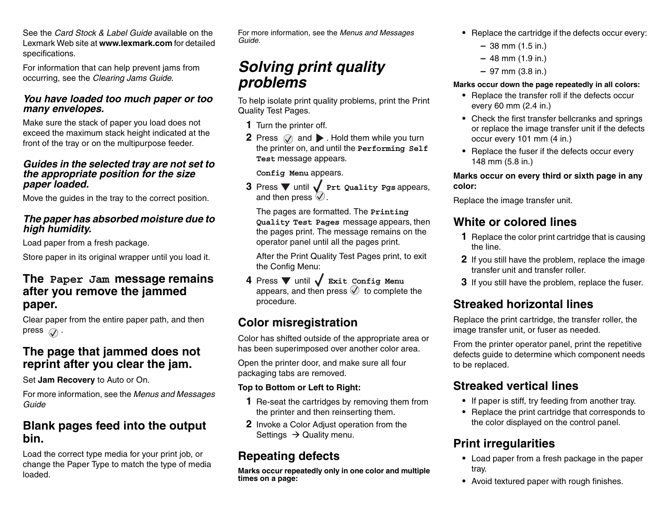See the *Card Stock & Label Guide* available on the Lexmark Web site at **www.lexmark.com** for detailed specifications.

For information that can help prevent jams from occurring, see the *Clearing Jams Guide*.

#### *You have loaded too much paper or too many envelopes.*

Make sure the stack of paper you load does not exceed the maximum stack height indicated at the front of the tray or on the multipurpose feeder.

#### *Guides in the selected tray are not set to the appropriate position for the size paper loaded.*

Move the guides in the tray to the correct position.

#### *The paper has absorbed moisture due to high humidity.*

Load paper from a fresh package.

Store paper in its original wrapper until you load it.

### **The Paper Jam message remains after you remove the jammed paper.**

Clear paper from the entire paper path, and then press  $\oslash$ .

### **The page that jammed does not reprint after you clear the jam.**

Set **Jam Recovery** to Auto or On.

For more information, see the *Menus and Messages Guide*

### **Blank pages feed into the output bin.**

Load the correct type media for your print job, or change the Paper Type to match the type of media loaded.

For more information, see the *Menus and Messages Guide*.

# *Solving print quality problems*

To help isolate print quality problems, print the Print Quality Test Pages.

**1** Turn the printer off.

**2** Press  $\oslash$  and  $\blacktriangleright$  . Hold them while you turn the printer on, and until the **Performing Self Test** message appears.

#### **Config Menu** appears.

**3** Press  $\blacktriangledown$  until  $\blacktriangleleft$  Prt Quality Pgs appears, and then press  $\heartsuit$ .

The pages are formatted. The **Printing Quality Test Pages** message appears, then the pages print. The message remains on the operator panel until all the pages print.

After the Print Quality Test Pages print, to exit the Config Menu:

**4** Press ▼ until ✔ Exit Config Menu appears, and then press  $\oslash$  to complete the procedure.

# **Color misregistration**

Color has shifted outside of the appropriate area or has been superimposed over another color area.

Open the printer door, and make sure all four packaging tabs are removed.

#### **Top to Bottom or Left to Right:**

- **1** Re-seat the cartridges by removing them from the printer and then reinserting them.
- **2** Invoke a Color Adjust operation from the Settings  $\,\rightarrow$  Quality menu.

# **Repeating defects**

**Marks occur repeatedly only in one color and multiple times on a page:**

- **•** Replace the cartridge if the defects occur every:
	- **–** 38 mm (1.5 in.)
	- **–** 48 mm (1.9 in.)
	- **–** 97 mm (3.8 in.)

#### **Marks occur down the page repeatedly in all colors:**

- **•** Replace the transfer roll if the defects occur every 60 mm (2.4 in.)
- **•** Check the first transfer bellcranks and springs or replace the image transfer unit if the defects occur every 101 mm (4 in.)
- **•** Replace the fuser if the defects occur every 148 mm (5.8 in.)

#### **Marks occur on every third or sixth page in any color:**

Replace the image transfer unit.

# **White or colored lines**

- **1** Replace the color print cartridge that is causing the line.
- **2** If you still have the problem, replace the image transfer unit and transfer roller.
- **3** If you still have the problem, replace the fuser.

# **Streaked horizontal lines**

Replace the print cartridge, the transfer roller, the image transfer unit, or fuser as needed.

From the printer operator panel, print the repetitive defects guide to determine which component needs to be replaced.

# **Streaked vertical lines**

- **•** If paper is stiff, try feeding from another tray.
- **•** Replace the print cartridge that corresponds to the color displayed on the control panel.

# **Print irregularities**

- **•** Load paper from a fresh package in the paper tray.
- **•** Avoid textured paper with rough finishes.